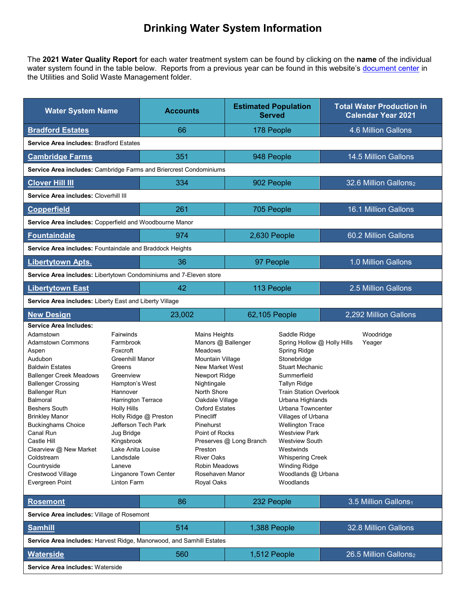## **Drinking Water System Information**

The **2021 Water Quality Report** for each water treatment system can be found by clicking on the **name** of the individual water system found in the table below. Reports from a previous year can be found in this website's [document center](http://www.frederickcountymd.gov/DocumentCenterii.aspx) in the Utilities and Solid Waste Management folder.

| <b>Water System Name</b>                                                                                                                                                                                                                                                                                                                                                                                                                |                                                                                                                                                                                                                                                                                    | <b>Accounts</b>                                |                                                                                                                                                                                                                                                                                                                              | <b>Estimated Population</b><br><b>Served</b> |                                                                                                                                                                                                                                                                                                                                                                                                                    | <b>Total Water Production in</b><br><b>Calendar Year 2021</b> |  |  |  |
|-----------------------------------------------------------------------------------------------------------------------------------------------------------------------------------------------------------------------------------------------------------------------------------------------------------------------------------------------------------------------------------------------------------------------------------------|------------------------------------------------------------------------------------------------------------------------------------------------------------------------------------------------------------------------------------------------------------------------------------|------------------------------------------------|------------------------------------------------------------------------------------------------------------------------------------------------------------------------------------------------------------------------------------------------------------------------------------------------------------------------------|----------------------------------------------|--------------------------------------------------------------------------------------------------------------------------------------------------------------------------------------------------------------------------------------------------------------------------------------------------------------------------------------------------------------------------------------------------------------------|---------------------------------------------------------------|--|--|--|
| <b>Bradford Estates</b>                                                                                                                                                                                                                                                                                                                                                                                                                 |                                                                                                                                                                                                                                                                                    | 66                                             |                                                                                                                                                                                                                                                                                                                              | 178 People                                   |                                                                                                                                                                                                                                                                                                                                                                                                                    | 4.6 Million Gallons                                           |  |  |  |
| Service Area includes: Bradford Estates                                                                                                                                                                                                                                                                                                                                                                                                 |                                                                                                                                                                                                                                                                                    |                                                |                                                                                                                                                                                                                                                                                                                              |                                              |                                                                                                                                                                                                                                                                                                                                                                                                                    |                                                               |  |  |  |
| <b>Cambridge Farms</b>                                                                                                                                                                                                                                                                                                                                                                                                                  |                                                                                                                                                                                                                                                                                    | 351                                            |                                                                                                                                                                                                                                                                                                                              | 948 People                                   |                                                                                                                                                                                                                                                                                                                                                                                                                    | 14.5 Million Gallons                                          |  |  |  |
| Service Area includes: Cambridge Farms and Briercrest Condominiums                                                                                                                                                                                                                                                                                                                                                                      |                                                                                                                                                                                                                                                                                    |                                                |                                                                                                                                                                                                                                                                                                                              |                                              |                                                                                                                                                                                                                                                                                                                                                                                                                    |                                                               |  |  |  |
| <b>Clover Hill III</b>                                                                                                                                                                                                                                                                                                                                                                                                                  |                                                                                                                                                                                                                                                                                    | 334                                            |                                                                                                                                                                                                                                                                                                                              | 902 People                                   |                                                                                                                                                                                                                                                                                                                                                                                                                    | 32.6 Million Gallons2                                         |  |  |  |
| Service Area includes: Cloverhill III                                                                                                                                                                                                                                                                                                                                                                                                   |                                                                                                                                                                                                                                                                                    |                                                |                                                                                                                                                                                                                                                                                                                              |                                              |                                                                                                                                                                                                                                                                                                                                                                                                                    |                                                               |  |  |  |
| <b>Copperfield</b>                                                                                                                                                                                                                                                                                                                                                                                                                      |                                                                                                                                                                                                                                                                                    | 261                                            |                                                                                                                                                                                                                                                                                                                              | 705 People                                   |                                                                                                                                                                                                                                                                                                                                                                                                                    | 16.1 Million Gallons                                          |  |  |  |
| Service Area includes: Copperfield and Woodbourne Manor                                                                                                                                                                                                                                                                                                                                                                                 |                                                                                                                                                                                                                                                                                    |                                                |                                                                                                                                                                                                                                                                                                                              |                                              |                                                                                                                                                                                                                                                                                                                                                                                                                    |                                                               |  |  |  |
| <b>Fountaindale</b>                                                                                                                                                                                                                                                                                                                                                                                                                     |                                                                                                                                                                                                                                                                                    | 974                                            |                                                                                                                                                                                                                                                                                                                              | 2,630 People                                 |                                                                                                                                                                                                                                                                                                                                                                                                                    | 60.2 Million Gallons                                          |  |  |  |
| Service Area includes: Fountaindale and Braddock Heights                                                                                                                                                                                                                                                                                                                                                                                |                                                                                                                                                                                                                                                                                    |                                                |                                                                                                                                                                                                                                                                                                                              |                                              |                                                                                                                                                                                                                                                                                                                                                                                                                    |                                                               |  |  |  |
| <b>Libertytown Apts.</b>                                                                                                                                                                                                                                                                                                                                                                                                                |                                                                                                                                                                                                                                                                                    | 36                                             |                                                                                                                                                                                                                                                                                                                              | 97 People                                    |                                                                                                                                                                                                                                                                                                                                                                                                                    | 1.0 Million Gallons                                           |  |  |  |
| Service Area includes: Libertytown Condominiums and 7-Eleven store                                                                                                                                                                                                                                                                                                                                                                      |                                                                                                                                                                                                                                                                                    |                                                |                                                                                                                                                                                                                                                                                                                              |                                              |                                                                                                                                                                                                                                                                                                                                                                                                                    |                                                               |  |  |  |
| <b>Libertytown East</b>                                                                                                                                                                                                                                                                                                                                                                                                                 |                                                                                                                                                                                                                                                                                    | 42                                             |                                                                                                                                                                                                                                                                                                                              | 113 People                                   |                                                                                                                                                                                                                                                                                                                                                                                                                    | 2.5 Million Gallons                                           |  |  |  |
| Service Area includes: Liberty East and Liberty Village                                                                                                                                                                                                                                                                                                                                                                                 |                                                                                                                                                                                                                                                                                    |                                                |                                                                                                                                                                                                                                                                                                                              |                                              |                                                                                                                                                                                                                                                                                                                                                                                                                    |                                                               |  |  |  |
| <b>New Design</b>                                                                                                                                                                                                                                                                                                                                                                                                                       |                                                                                                                                                                                                                                                                                    | 23,002                                         |                                                                                                                                                                                                                                                                                                                              | 62,105 People                                |                                                                                                                                                                                                                                                                                                                                                                                                                    | 2,292 Million Gallons                                         |  |  |  |
| <b>Service Area Includes:</b><br>Adamstown<br><b>Adamstown Commons</b><br>Aspen<br>Audubon<br><b>Baldwin Estates</b><br><b>Ballenger Creek Meadows</b><br><b>Ballenger Crossing</b><br><b>Ballenger Run</b><br><b>Balmoral</b><br><b>Beshers South</b><br><b>Brinkley Manor</b><br><b>Buckinghams Choice</b><br>Canal Run<br>Castle Hill<br>Clearview @ New Market<br>Coldstream<br>Countryside<br>Crestwood Village<br>Evergreen Point | Fairwinds<br>Farmbrook<br>Foxcroft<br><b>Greenhill Manor</b><br>Greens<br>Greenview<br>Hampton's West<br>Hannover<br><b>Harrington Terrace</b><br><b>Holly Hills</b><br>Jefferson Tech Park<br>Jug Bridge<br>Kingsbrook<br>Lake Anita Louise<br>Landsdale<br>Laneve<br>Linton Farm | Holly Ridge @ Preston<br>Linganore Town Center | Mains Heights<br>Manors @ Ballenger<br>Meadows<br>Mountain Village<br><b>New Market West</b><br>Newport Ridge<br>Nightingale<br>North Shore<br>Oakdale Village<br><b>Oxford Estates</b><br>Pinecliff<br>Pinehurst<br>Point of Rocks<br>Preston<br><b>River Oaks</b><br><b>Robin Meadows</b><br>Rosehaven Manor<br>Royal Oaks | Preserves @ Long Branch                      | Saddle Ridge<br>Spring Hollow @ Holly Hills<br>Spring Ridge<br>Stonebridge<br><b>Stuart Mechanic</b><br>Summerfield<br>Tallyn Ridge<br><b>Train Station Overlook</b><br>Urbana Highlands<br>Urbana Towncenter<br>Villages of Urbana<br><b>Wellington Trace</b><br><b>Westview Park</b><br><b>Westview South</b><br>Westwinds<br><b>Whispering Creek</b><br><b>Winding Ridge</b><br>Woodlands @ Urbana<br>Woodlands | Woodridge<br>Yeager                                           |  |  |  |
| <b>Rosemont</b>                                                                                                                                                                                                                                                                                                                                                                                                                         |                                                                                                                                                                                                                                                                                    | 86                                             |                                                                                                                                                                                                                                                                                                                              | 232 People                                   |                                                                                                                                                                                                                                                                                                                                                                                                                    | 3.5 Million Gallons1                                          |  |  |  |
| Service Area includes: Village of Rosemont                                                                                                                                                                                                                                                                                                                                                                                              |                                                                                                                                                                                                                                                                                    |                                                |                                                                                                                                                                                                                                                                                                                              |                                              |                                                                                                                                                                                                                                                                                                                                                                                                                    |                                                               |  |  |  |
| <b>Samhill</b>                                                                                                                                                                                                                                                                                                                                                                                                                          |                                                                                                                                                                                                                                                                                    | 514                                            |                                                                                                                                                                                                                                                                                                                              | 1,388 People                                 |                                                                                                                                                                                                                                                                                                                                                                                                                    | 32.8 Million Gallons                                          |  |  |  |
| Service Area includes: Harvest Ridge, Manorwood, and Samhill Estates                                                                                                                                                                                                                                                                                                                                                                    |                                                                                                                                                                                                                                                                                    |                                                |                                                                                                                                                                                                                                                                                                                              |                                              |                                                                                                                                                                                                                                                                                                                                                                                                                    |                                                               |  |  |  |
| <b>Waterside</b>                                                                                                                                                                                                                                                                                                                                                                                                                        |                                                                                                                                                                                                                                                                                    | 560                                            |                                                                                                                                                                                                                                                                                                                              | 1,512 People                                 |                                                                                                                                                                                                                                                                                                                                                                                                                    | 26.5 Million Gallons2                                         |  |  |  |

**Service Area includes:** Waterside